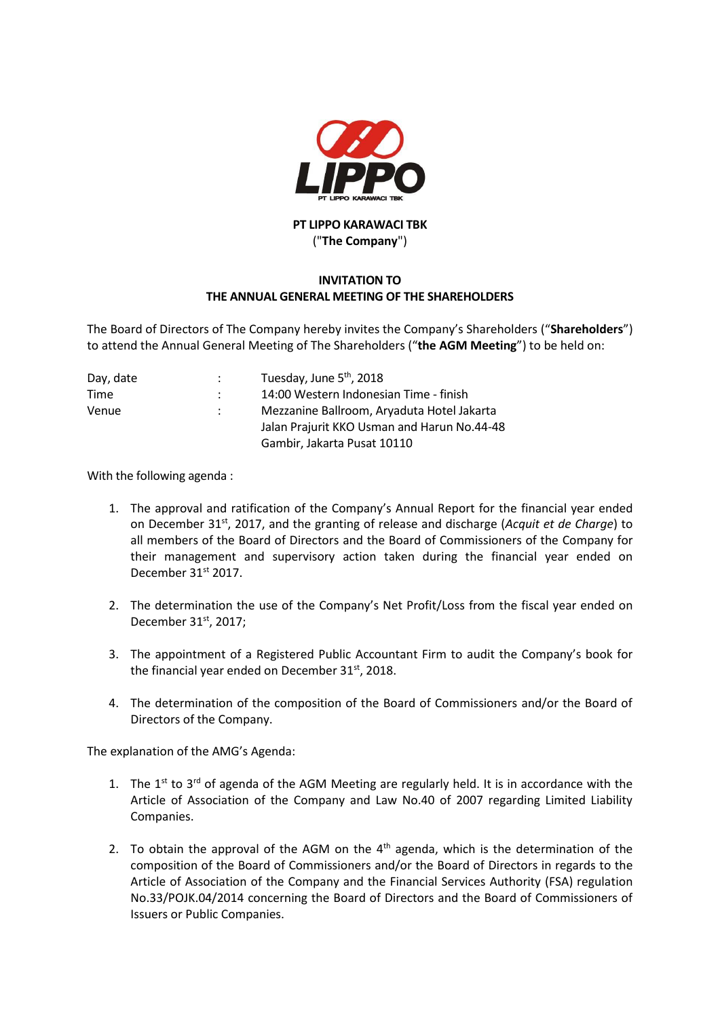

## **PT LIPPO KARAWACI TBK** ("**The Company**")

## **INVITATION TO THE ANNUAL GENERAL MEETING OF THE SHAREHOLDERS**

The Board of Directors of The Company hereby invites the Company's Shareholders ("**Shareholders**") to attend the Annual General Meeting of The Shareholders ("**the AGM Meeting**") to be held on:

| Day, date | Tuesday, June 5 <sup>th</sup> , 2018        |
|-----------|---------------------------------------------|
| Time      | 14:00 Western Indonesian Time - finish      |
| Venue     | Mezzanine Ballroom, Aryaduta Hotel Jakarta  |
|           | Jalan Prajurit KKO Usman and Harun No.44-48 |
|           | Gambir, Jakarta Pusat 10110                 |

With the following agenda :

- 1. The approval and ratification of the Company's Annual Report for the financial year ended on December 31st, 2017, and the granting of release and discharge (*Acquit et de Charge*) to all members of the Board of Directors and the Board of Commissioners of the Company for their management and supervisory action taken during the financial year ended on December 31<sup>st</sup> 2017.
- 2. The determination the use of the Company's Net Profit/Loss from the fiscal year ended on December 31<sup>st</sup>, 2017;
- 3. The appointment of a Registered Public Accountant Firm to audit the Company's book for the financial year ended on December 31<sup>st</sup>, 2018.
- 4. The determination of the composition of the Board of Commissioners and/or the Board of Directors of the Company.

The explanation of the AMG's Agenda:

- 1. The  $1^{st}$  to  $3^{rd}$  of agenda of the AGM Meeting are regularly held. It is in accordance with the Article of Association of the Company and Law No.40 of 2007 regarding Limited Liability Companies.
- 2. To obtain the approval of the AGM on the  $4<sup>th</sup>$  agenda, which is the determination of the composition of the Board of Commissioners and/or the Board of Directors in regards to the Article of Association of the Company and the Financial Services Authority (FSA) regulation No.33/POJK.04/2014 concerning the Board of Directors and the Board of Commissioners of Issuers or Public Companies.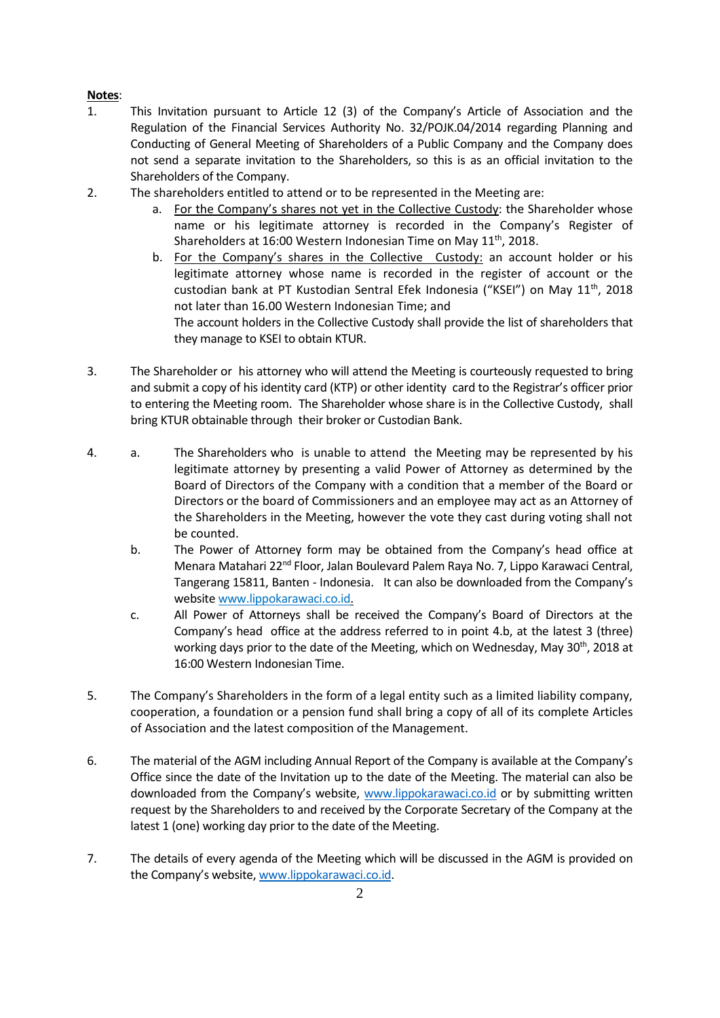## **Notes**:

- 1. This Invitation pursuant to Article 12 (3) of the Company's Article of Association and the Regulation of the Financial Services Authority No. 32/POJK.04/2014 regarding Planning and Conducting of General Meeting of Shareholders of a Public Company and the Company does not send a separate invitation to the Shareholders, so this is as an official invitation to the Shareholders of the Company.
- 2. The shareholders entitled to attend or to be represented in the Meeting are:
	- a. For the Company's shares not yet in the Collective Custody: the Shareholder whose name or his legitimate attorney is recorded in the Company's Register of Shareholders at 16:00 Western Indonesian Time on May 11<sup>th</sup>, 2018.
	- b. For the Company's shares in the Collective Custody: an account holder or his legitimate attorney whose name is recorded in the register of account or the custodian bank at PT Kustodian Sentral Efek Indonesia ("KSEI") on May 11<sup>th</sup>, 2018 not later than 16.00 Western Indonesian Time; and The account holders in the Collective Custody shall provide the list of shareholders that they manage to KSEI to obtain KTUR.
- 3. The Shareholder or his attorney who will attend the Meeting is courteously requested to bring and submit a copy of his identity card (KTP) or other identity card to the Registrar's officer prior to entering the Meeting room. The Shareholder whose share is in the Collective Custody, shall bring KTUR obtainable through their broker or Custodian Bank.
- 4. a. The Shareholders who is unable to attend the Meeting may be represented by his legitimate attorney by presenting a valid Power of Attorney as determined by the Board of Directors of the Company with a condition that a member of the Board or Directors or the board of Commissioners and an employee may act as an Attorney of the Shareholders in the Meeting, however the vote they cast during voting shall not be counted.
	- b. The Power of Attorney form may be obtained from the Company's head office at Menara Matahari 22nd Floor, Jalan Boulevard Palem Raya No. 7, Lippo Karawaci Central, Tangerang 15811, Banten - Indonesia. It can also be downloaded from the Company's website www.lippokarawaci.co.id.
	- c. All Power of Attorneys shall be received the Company's Board of Directors at the Company's head office at the address referred to in point 4.b, at the latest 3 (three) working days prior to the date of the Meeting, which on Wednesday, May 30<sup>th</sup>, 2018 at 16:00 Western Indonesian Time.
- 5. The Company's Shareholders in the form of a legal entity such as a limited liability company, cooperation, a foundation or a pension fund shall bring a copy of all of its complete Articles of Association and the latest composition of the Management.
- 6. The material of the AGM including Annual Report of the Company is available at the Company's Office since the date of the Invitation up to the date of the Meeting. The material can also be downloaded from the Company's website, [www.lippokarawaci.co.id](http://www.lippokarawaci.co.id/) or by submitting written request by the Shareholders to and received by the Corporate Secretary of the Company at the latest 1 (one) working day prior to the date of the Meeting.
- 7. The details of every agenda of the Meeting which will be discussed in the AGM is provided on the Company's website, [www.lippokarawaci.co.id.](http://www.lippokarawaci.co.id/)